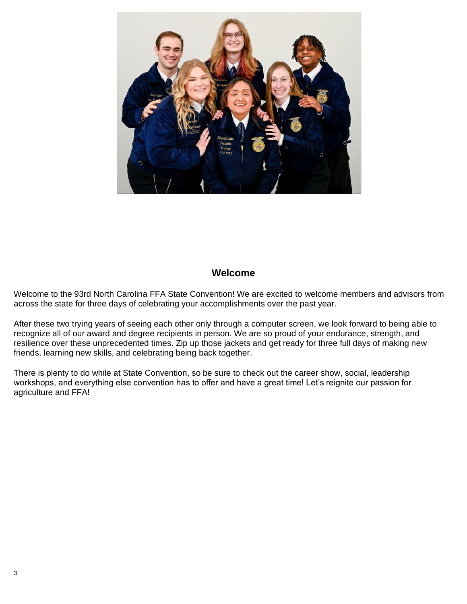

## **Welcome**

Welcome to the 93rd North Carolina FFA State Convention! We are excited to welcome members and advisors from across the state for three days of celebrating your accomplishments over the past year.

After these two trying years of seeing each other only through a computer screen, we look forward to being able to recognize all of our award and degree recipients in person. We are so proud of your endurance, strength, and resilience over these unprecedented times. Zip up those jackets and get ready for three full days of making new friends, learning new skills, and celebrating being back together.

There is plenty to do while at State Convention, so be sure to check out the career show, social, leadership workshops, and everything else convention has to offer and have a great time! Let's reignite our passion for agriculture and FFA!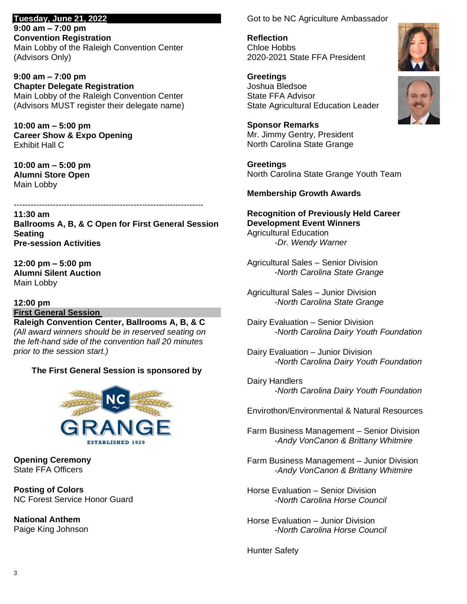**Tuesday, June 21, 2022 9:00 am – 7:00 pm Convention Registration** Main Lobby of the Raleigh Convention Center (Advisors Only)

**9:00 am – 7:00 pm Chapter Delegate Registration** Main Lobby of the Raleigh Convention Center (Advisors MUST register their delegate name)

**10:00 am – 5:00 pm Career Show & Expo Opening** Exhibit Hall C

**10:00 am – 5:00 pm Alumni Store Open** Main Lobby

--------------------------------------------------------------------

**11:30 am Ballrooms A, B, & C Open for First General Session Seating Pre-session Activities**

**12:00 pm – 5:00 pm Alumni Silent Auction** Main Lobby

# **12:00 pm**

**First General Session**

**Raleigh Convention Center, Ballrooms A, B, & C** *(All award winners should be in reserved seating on the left-hand side of the convention hall 20 minutes prior to the session start.)*

## **The First General Session is sponsored by**



**Opening Ceremony** State FFA Officers

**Posting of Colors** NC Forest Service Honor Guard

**National Anthem** Paige King Johnson Got to be NC Agriculture Ambassador

**Reflection** Chloe Hobbs 2020-2021 State FFA President

**Greetings** Joshua Bledsoe State FFA Advisor State Agricultural Education Leader

**Sponsor Remarks** Mr. Jimmy Gentry, President North Carolina State Grange

**Greetings** North Carolina State Grange Youth Team

## **Membership Growth Awards**

**Recognition of Previously Held Career Development Event Winners** Agricultural Education -*Dr. Wendy Warner*

Agricultural Sales – Senior Division -*North Carolina State Grange*

Agricultural Sales – Junior Division -*North Carolina State Grange*

Dairy Evaluation – Senior Division -*North Carolina Dairy Youth Foundation*

Dairy Evaluation – Junior Division *-North Carolina Dairy Youth Foundation*

Dairy Handlers -*North Carolina Dairy Youth Foundation*

Envirothon/Environmental & Natural Resources

Farm Business Management – Senior Division -*Andy VonCanon & Brittany Whitmire*

Farm Business Management – Junior Division -*Andy VonCanon & Brittany Whitmire*

Horse Evaluation – Senior Division -*North Carolina Horse Council*

Horse Evaluation – Junior Division -*North Carolina Horse Council*

Hunter Safety

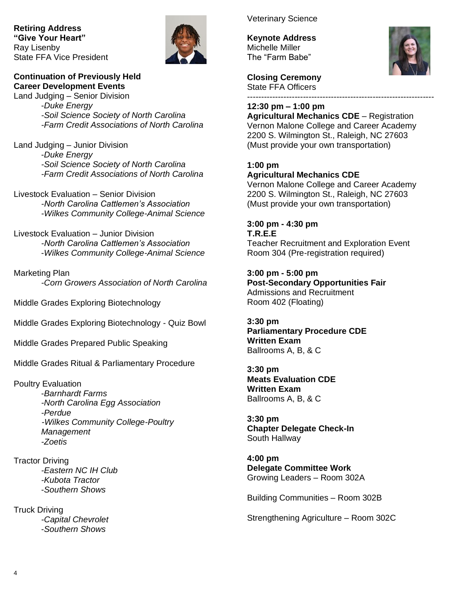**Retiring Address "Give Your Heart"** Ray Lisenby State FFA Vice President



## **Continuation of Previously Held Career Development Events**

Land Judging – Senior Division -*Duke Energy -Soil Science Society of North Carolina -Farm Credit Associations of North Carolina*

Land Judging – Junior Division -*Duke Energy -Soil Science Society of North Carolina -Farm Credit Associations of North Carolina*

Livestock Evaluation – Senior Division *-North Carolina Cattlemen's Association -Wilkes Community College-Animal Science*

Livestock Evaluation – Junior Division *-North Carolina Cattlemen's Association* -*Wilkes Community College-Animal Science*

Marketing Plan *-Corn Growers Association of North Carolina*

Middle Grades Exploring Biotechnology

Middle Grades Exploring Biotechnology - Quiz Bowl

Middle Grades Prepared Public Speaking

Middle Grades Ritual & Parliamentary Procedure

## Poultry Evaluation

-*Barnhardt Farms -North Carolina Egg Association -Perdue -Wilkes Community College-Poultry Management -Zoetis*

Tractor Driving *-Eastern NC IH Club -Kubota Tractor* -*Southern Shows*

Truck Driving *-Capital Chevrolet* -*Southern Shows*

Veterinary Science

**Keynote Address** Michelle Miller The "Farm Babe"



**Closing Ceremony** State FFA Officers -------------------------------------------------------------------

## **12:30 pm – 1:00 pm**

**Agricultural Mechanics CDE** – Registration Vernon Malone College and Career Academy 2200 S. Wilmington St., Raleigh, NC 27603 (Must provide your own transportation)

## **1:00 pm Agricultural Mechanics CDE**

Vernon Malone College and Career Academy 2200 S. Wilmington St., Raleigh, NC 27603 (Must provide your own transportation)

## **3:00 pm - 4:30 pm**

**T.R.E.E** Teacher Recruitment and Exploration Event Room 304 (Pre-registration required)

**3:00 pm - 5:00 pm Post-Secondary Opportunities Fair** Admissions and Recruitment Room 402 (Floating)

**3:30 pm Parliamentary Procedure CDE Written Exam** Ballrooms A, B, & C

**3:30 pm Meats Evaluation CDE Written Exam** Ballrooms A, B, & C

**3:30 pm Chapter Delegate Check-In** South Hallway

**4:00 pm Delegate Committee Work** Growing Leaders – Room 302A

Building Communities – Room 302B

Strengthening Agriculture – Room 302C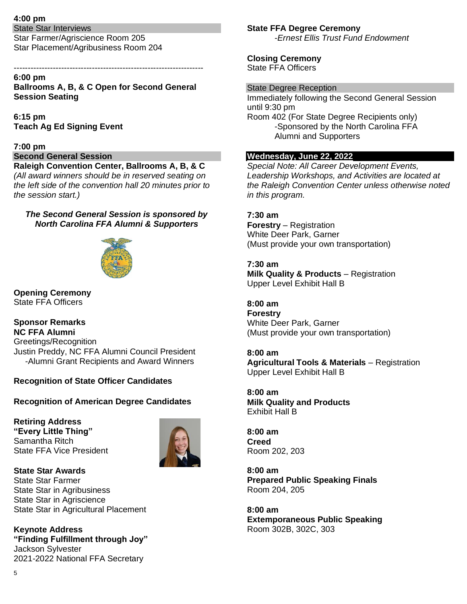## **4:00 pm**

State Star Interviews Star Farmer/Agriscience Room 205 Star Placement/Agribusiness Room 204

#### -------------------------------------------------------------------- **6:00 pm**

**Ballrooms A, B, & C Open for Second General Session Seating**

**6:15 pm Teach Ag Ed Signing Event**

#### **7:00 pm**

#### **Second General Session**

**Raleigh Convention Center, Ballrooms A, B, & C** *(All award winners should be in reserved seating on the left side of the convention hall 20 minutes prior to the session start.)*

## *The Second General Session is sponsored by North Carolina FFA Alumni & Supporters*



**Opening Ceremony** State FFA Officers

**Sponsor Remarks NC FFA Alumni** Greetings/Recognition Justin Preddy, NC FFA Alumni Council President -Alumni Grant Recipients and Award Winners

## **Recognition of State Officer Candidates**

#### **Recognition of American Degree Candidates**

**Retiring Address "Every Little Thing"** Samantha Ritch State FFA Vice President



# **State FFA Degree Ceremony**

-*Ernest Ellis Trust Fund Endowment*

**Closing Ceremony** State FFA Officers

#### State Degree Reception

Immediately following the Second General Session until 9:30 pm Room 402 (For State Degree Recipients only) -Sponsored by the North Carolina FFA Alumni and Supporters

#### **Wednesday, June 22, 2022**

*Special Note: All Career Development Events, Leadership Workshops, and Activities are located at the Raleigh Convention Center unless otherwise noted in this program.*

## **7:30 am**

**Forestry** – Registration White Deer Park, Garner (Must provide your own transportation)

**7:30 am Milk Quality & Products** – Registration Upper Level Exhibit Hall B

**8:00 am Forestry** White Deer Park, Garner (Must provide your own transportation)

## **8:00 am**

**Agricultural Tools & Materials** – Registration Upper Level Exhibit Hall B

**8:00 am Milk Quality and Products** Exhibit Hall B

**8:00 am Creed** Room 202, 203

**8:00 am Prepared Public Speaking Finals** Room 204, 205

**8:00 am Extemporaneous Public Speaking** Room 302B, 302C, 303

**State Star Awards** State Star Farmer State Star in Agribusiness State Star in Agriscience State Star in Agricultural Placement

**Keynote Address "Finding Fulfillment through Joy"** Jackson Sylvester 2021-2022 National FFA Secretary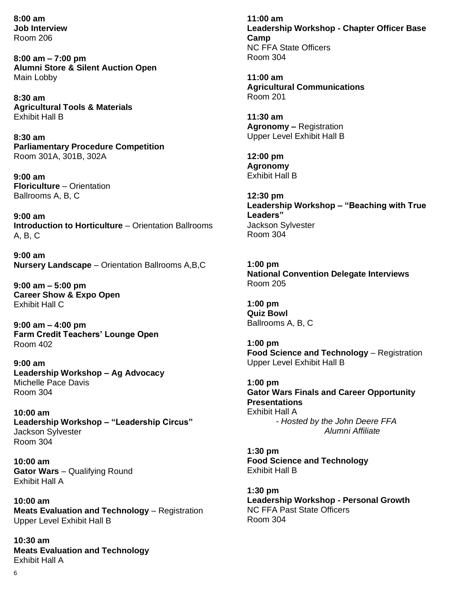**8:00 am Job Interview** Room 206

**8:00 am – 7:00 pm Alumni Store & Silent Auction Open** Main Lobby

**8:30 am Agricultural Tools & Materials**  Exhibit Hall B

**8:30 am Parliamentary Procedure Competition** Room 301A, 301B, 302A

**9:00 am Floriculture** – Orientation Ballrooms A, B, C

**9:00 am Introduction to Horticulture** – Orientation Ballrooms A, B, C

**9:00 am Nursery Landscape** – Orientation Ballrooms A,B,C

**9:00 am – 5:00 pm Career Show & Expo Open** Exhibit Hall C

**9:00 am – 4:00 pm Farm Credit Teachers' Lounge Open** Room 402

**9:00 am Leadership Workshop – Ag Advocacy** Michelle Pace Davis Room 304

**10:00 am Leadership Workshop – "Leadership Circus"** Jackson Sylvester Room 304

**10:00 am Gator Wars** – Qualifying Round Exhibit Hall A

**10:00 am Meats Evaluation and Technology** – Registration Upper Level Exhibit Hall B

**10:30 am Meats Evaluation and Technology** Exhibit Hall A

**11:00 am Leadership Workshop - Chapter Officer Base Camp** NC FFA State Officers Room 304

**11:00 am Agricultural Communications** Room 201

**11:30 am Agronomy –** Registration Upper Level Exhibit Hall B

**12:00 pm Agronomy**  Exhibit Hall B

**12:30 pm Leadership Workshop – "Beaching with True Leaders"** Jackson Sylvester Room 304

**1:00 pm National Convention Delegate Interviews** Room 205

**1:00 pm Quiz Bowl** Ballrooms A, B, C

**1:00 pm Food Science and Technology** – Registration Upper Level Exhibit Hall B

**1:00 pm Gator Wars Finals and Career Opportunity Presentations**  Exhibit Hall A *- Hosted by the John Deere FFA Alumni Affiliate*

**1:30 pm Food Science and Technology** Exhibit Hall B

**1:30 pm Leadership Workshop - Personal Growth** NC FFA Past State Officers Room 304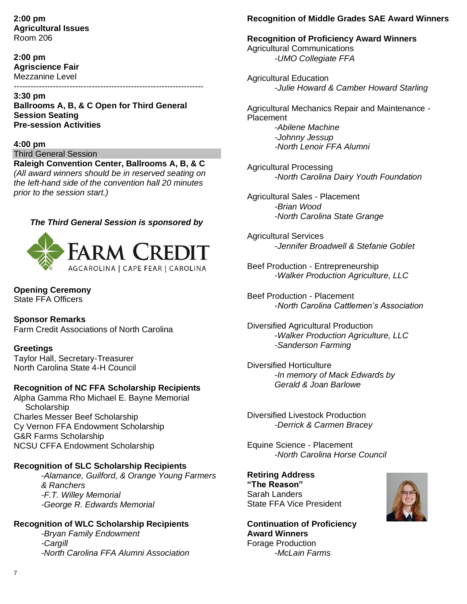**2:00 pm Agricultural Issues** Room 206

**2:00 pm Agriscience Fair** Mezzanine Level --------------------------------------------------------------------

**3:30 pm Ballrooms A, B, & C Open for Third General Session Seating Pre-session Activities**

#### **4:00 pm**

Third General Session

**Raleigh Convention Center, Ballrooms A, B, & C** *(All award winners should be in reserved seating on the left-hand side of the convention hall 20 minutes prior to the session start.)*

#### *The Third General Session is sponsored by*



**Opening Ceremony** State FFA Officers

**Sponsor Remarks**

Farm Credit Associations of North Carolina

#### **Greetings**

Taylor Hall, Secretary-Treasurer North Carolina State 4-H Council

## **Recognition of NC FFA Scholarship Recipients**

Alpha Gamma Rho Michael E. Bayne Memorial **Scholarship** Charles Messer Beef Scholarship Cy Vernon FFA Endowment Scholarship G&R Farms Scholarship NCSU CFFA Endowment Scholarship

#### **Recognition of SLC Scholarship Recipients**

-*Alamance, Guilford, & Orange Young Farmers & Ranchers -F.T. Willey Memorial -George R. Edwards Memorial*

## **Recognition of WLC Scholarship Recipients**

*-Bryan Family Endowment -Cargill -North Carolina FFA Alumni Association*

## **Recognition of Middle Grades SAE Award Winners**

**Recognition of Proficiency Award Winners** Agricultural Communications -*UMO Collegiate FFA*

Agricultural Education -*Julie Howard & Camber Howard Starling*

Agricultural Mechanics Repair and Maintenance - Placement -*Abilene Machine*

- *-Johnny Jessup*
- *-North Lenoir FFA Alumni*

Agricultural Processing *-North Carolina Dairy Youth Foundation*

Agricultural Sales - Placement *-Brian Wood* -*North Carolina State Grange*

Agricultural Services -*Jennifer Broadwell & Stefanie Goblet*

Beef Production - Entrepreneurship *-Walker Production Agriculture, LLC*

Beef Production - Placement -*North Carolina Cattlemen's Association*

Diversified Agricultural Production -*Walker Production Agriculture, LLC -Sanderson Farming*

Diversified Horticulture -*In memory of Mack Edwards by Gerald & Joan Barlowe*

Diversified Livestock Production -*Derrick & Carmen Bracey*

Equine Science - Placement -*North Carolina Horse Council*

**Retiring Address "The Reason"** Sarah Landers State FFA Vice President

**Continuation of Proficiency Award Winners** Forage Production -*McLain Farms*

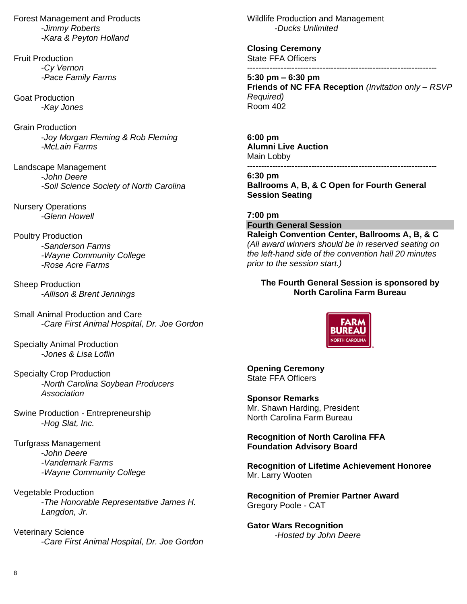Forest Management and Products -*Jimmy Roberts -Kara & Peyton Holland*

Fruit Production -*Cy Vernon -Pace Family Farms*

Goat Production -*Kay Jones*

Grain Production -*Joy Morgan Fleming & Rob Fleming -McLain Farms*

Landscape Management -*John Deere -Soil Science Society of North Carolina*

Nursery Operations -*Glenn Howell*

Poultry Production -*Sanderson Farms -Wayne Community College -Rose Acre Farms*

Sheep Production -*Allison & Brent Jennings*

Small Animal Production and Care -*Care First Animal Hospital, Dr. Joe Gordon*

Specialty Animal Production *-Jones & Lisa Loflin*

Specialty Crop Production *-North Carolina Soybean Producers Association*

Swine Production - Entrepreneurship -*Hog Slat, Inc.*

Turfgrass Management -*John Deere -Vandemark Farms -Wayne Community College*

Vegetable Production -*The Honorable Representative James H. Langdon, Jr.*

Veterinary Science -*Care First Animal Hospital, Dr. Joe Gordon* Wildlife Production and Management -*Ducks Unlimited*

**Closing Ceremony** State FFA Officers --------------------------------------------------------------------

**5:30 pm – 6:30 pm Friends of NC FFA Reception** *(Invitation only – RSVP Required)*  $Room\,402$ 

**6:00 pm Alumni Live Auction**  Main Lobby

--------------------------------------------------------------------

**6:30 pm Ballrooms A, B, & C Open for Fourth General Session Seating**

**7:00 pm Fourth General Session**

**Raleigh Convention Center, Ballrooms A, B, & C** *(All award winners should be in reserved seating on the left-hand side of the convention hall 20 minutes prior to the session start.)*

## **The Fourth General Session is sponsored by North Carolina Farm Bureau**



**Opening Ceremony** State FFA Officers

**Sponsor Remarks** Mr. Shawn Harding, President North Carolina Farm Bureau

**Recognition of North Carolina FFA Foundation Advisory Board**

**Recognition of Lifetime Achievement Honoree** Mr. Larry Wooten

**Recognition of Premier Partner Award** Gregory Poole - CAT

**Gator Wars Recognition** *-Hosted by John Deere*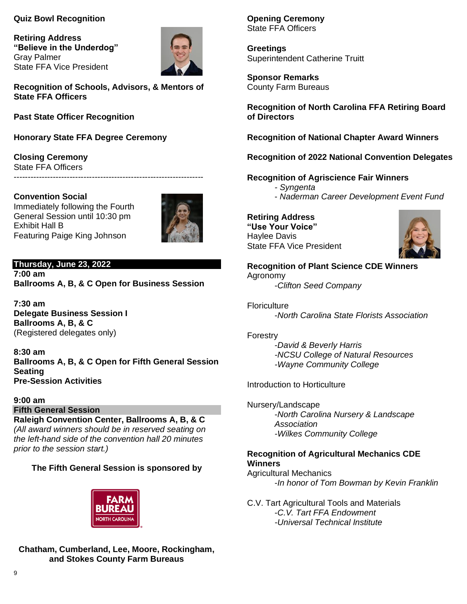## **Quiz Bowl Recognition**

**Retiring Address "Believe in the Underdog"** Gray Palmer State FFA Vice President



**Recognition of Schools, Advisors, & Mentors of State FFA Officers**

**Past State Officer Recognition**

**Honorary State FFA Degree Ceremony**

**Closing Ceremony** State FFA Officers --------------------------------------------------------------------

**Convention Social** Immediately following the Fourth General Session until 10:30 pm Exhibit Hall B Featuring Paige King Johnson



**Thursday, June 23, 2022 7:00 am Ballrooms A, B, & C Open for Business Session**

**7:30 am Delegate Business Session I Ballrooms A, B, & C** (Registered delegates only)

**8:30 am Ballrooms A, B, & C Open for Fifth General Session Seating Pre-Session Activities**

## **9:00 am**

**Fifth General Session**

**Raleigh Convention Center, Ballrooms A, B, & C** *(All award winners should be in reserved seating on the left-hand side of the convention hall 20 minutes prior to the session start.)*

## **The Fifth General Session is sponsored by**



## **Chatham, Cumberland, Lee, Moore, Rockingham, and Stokes County Farm Bureaus**

**Opening Ceremony** State FFA Officers

**Greetings** Superintendent Catherine Truitt

**Sponsor Remarks** County Farm Bureaus

**Recognition of North Carolina FFA Retiring Board of Directors**

**Recognition of National Chapter Award Winners**

**Recognition of 2022 National Convention Delegates**

#### **Recognition of Agriscience Fair Winners**

- *- Syngenta*
- *Naderman Career Development Event Fund*

## **Retiring Address "Use Your Voice"** Haylee Davis State FFA Vice President



**Recognition of Plant Science CDE Winners** Agronomy -*Clifton Seed Company*

**Floriculture** -*North Carolina State Florists Association*

#### Forestry

-*David & Beverly Harris -NCSU College of Natural Resources -Wayne Community College*

Introduction to Horticulture

Nursery/Landscape -*North Carolina Nursery & Landscape Association -Wilkes Community College*

## **Recognition of Agricultural Mechanics CDE Winners**

Agricultural Mechanics -*In honor of Tom Bowman by Kevin Franklin*

C.V. Tart Agricultural Tools and Materials -*C.V. Tart FFA Endowment -Universal Technical Institute*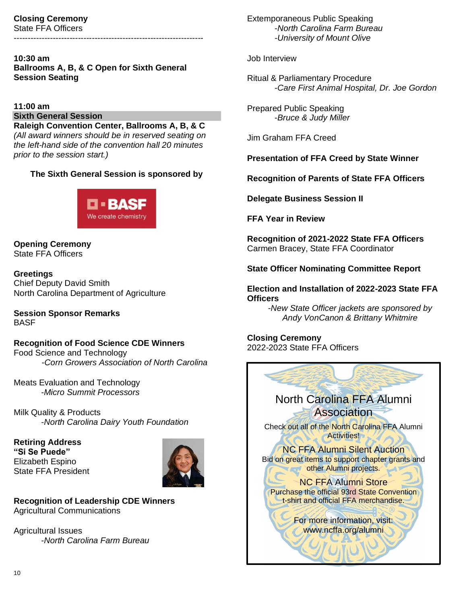#### **Closing Ceremony** State FFA Officers

--------------------------------------------------------------------

## **10:30 am Ballrooms A, B, & C Open for Sixth General Session Seating**

#### **11:00 am**

## **Sixth General Session**

**Raleigh Convention Center, Ballrooms A, B, & C** *(All award winners should be in reserved seating on the left-hand side of the convention hall 20 minutes prior to the session start.)*

## **The Sixth General Session is sponsored by**



**Opening Ceremony** State FFA Officers

**Greetings** Chief Deputy David Smith North Carolina Department of Agriculture

**Session Sponsor Remarks BASE** 

## **Recognition of Food Science CDE Winners**

Food Science and Technology -*Corn Growers Association of North Carolina*

Meats Evaluation and Technology -*Micro Summit Processors*

Milk Quality & Products -*North Carolina Dairy Youth Foundation*

**Retiring Address "Si Se Puede"** Elizabeth Espino State FFA President



**Recognition of Leadership CDE Winners** Agricultural Communications

Agricultural Issues -*North Carolina Farm Bureau* Extemporaneous Public Speaking -*North Carolina Farm Bureau -University of Mount Olive*

## Job Interview

Ritual & Parliamentary Procedure -*Care First Animal Hospital, Dr. Joe Gordon*

Prepared Public Speaking -*Bruce & Judy Miller*

Jim Graham FFA Creed

**Presentation of FFA Creed by State Winner**

**Recognition of Parents of State FFA Officers**

**Delegate Business Session II**

**FFA Year in Review**

**Recognition of 2021-2022 State FFA Officers** Carmen Bracey, State FFA Coordinator

**State Officer Nominating Committee Report**

## **Election and Installation of 2022-2023 State FFA Officers**

*-New State Officer jackets are sponsored by Andy VonCanon & Brittany Whitmire*

**Closing Ceremony** 2022-2023 State FFA Officers

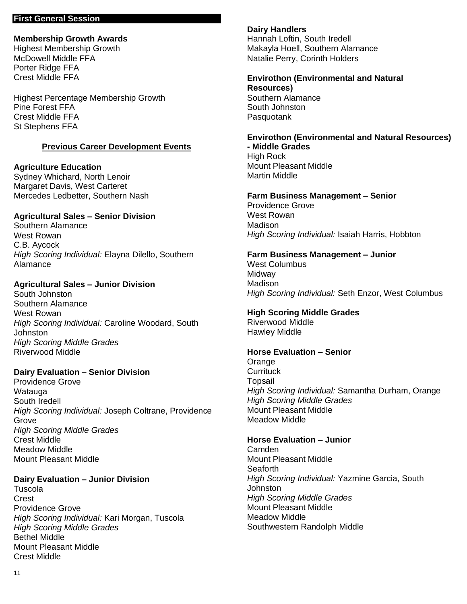#### **First General Session**

#### **Membership Growth Awards**

Highest Membership Growth McDowell Middle FFA Porter Ridge FFA Crest Middle FFA

Highest Percentage Membership Growth Pine Forest FFA Crest Middle FFA St Stephens FFA

## **Previous Career Development Events**

**Agriculture Education** Sydney Whichard, North Lenoir Margaret Davis, West Carteret Mercedes Ledbetter, Southern Nash

## **Agricultural Sales – Senior Division**

Southern Alamance West Rowan C.B. Aycock *High Scoring Individual:* Elayna Dilello, Southern Alamance

## **Agricultural Sales – Junior Division**

South Johnston Southern Alamance West Rowan *High Scoring Individual:* Caroline Woodard, South Johnston *High Scoring Middle Grades* Riverwood Middle

## **Dairy Evaluation – Senior Division**

Providence Grove Watauga South Iredell *High Scoring Individual:* Joseph Coltrane, Providence Grove *High Scoring Middle Grades* Crest Middle Meadow Middle Mount Pleasant Middle

#### **Dairy Evaluation – Junior Division**

**Tuscola Crest** Providence Grove *High Scoring Individual:* Kari Morgan, Tuscola *High Scoring Middle Grades* Bethel Middle Mount Pleasant Middle Crest Middle

#### **Dairy Handlers**

**Pasquotank** 

Hannah Loftin, South Iredell Makayla Hoell, Southern Alamance Natalie Perry, Corinth Holders

#### **Envirothon (Environmental and Natural Resources)** Southern Alamance South Johnston

**Envirothon (Environmental and Natural Resources) - Middle Grades**

High Rock Mount Pleasant Middle Martin Middle

## **Farm Business Management – Senior**

Providence Grove West Rowan **Madison** *High Scoring Individual:* Isaiah Harris, Hobbton

## **Farm Business Management – Junior**

West Columbus **Midway** Madison *High Scoring Individual:* Seth Enzor, West Columbus

#### **High Scoring Middle Grades**

Riverwood Middle Hawley Middle

#### **Horse Evaluation – Senior**

**Orange Currituck Topsail** *High Scoring Individual:* Samantha Durham, Orange *High Scoring Middle Grades* Mount Pleasant Middle Meadow Middle

#### **Horse Evaluation – Junior**

Camden Mount Pleasant Middle **Seaforth** *High Scoring Individual:* Yazmine Garcia, South **Johnston** *High Scoring Middle Grades* Mount Pleasant Middle Meadow Middle Southwestern Randolph Middle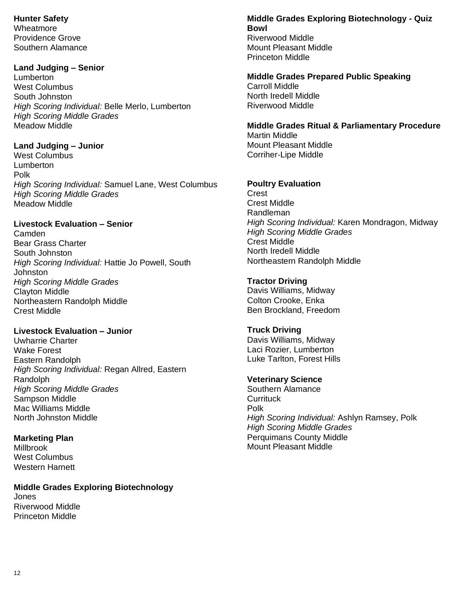**Hunter Safety**

Wheatmore Providence Grove Southern Alamance

## **Land Judging – Senior**

Lumberton West Columbus South Johnston *High Scoring Individual:* Belle Merlo, Lumberton *High Scoring Middle Grades* Meadow Middle

## **Land Judging – Junior**

West Columbus Lumberton Polk *High Scoring Individual:* Samuel Lane, West Columbus *High Scoring Middle Grades* Meadow Middle

## **Livestock Evaluation – Senior**

Camden Bear Grass Charter South Johnston *High Scoring Individual:* Hattie Jo Powell, South Johnston *High Scoring Middle Grades* Clayton Middle Northeastern Randolph Middle Crest Middle

## **Livestock Evaluation – Junior**

Uwharrie Charter Wake Forest Eastern Randolph *High Scoring Individual:* Regan Allred, Eastern Randolph *High Scoring Middle Grades* Sampson Middle Mac Williams Middle North Johnston Middle

**Marketing Plan Millbrook** West Columbus Western Harnett

**Middle Grades Exploring Biotechnology**  Jones Riverwood Middle Princeton Middle

## **Middle Grades Exploring Biotechnology - Quiz Bowl** Riverwood Middle Mount Pleasant Middle

Princeton Middle **Middle Grades Prepared Public Speaking**

Carroll Middle North Iredell Middle Riverwood Middle

## **Middle Grades Ritual & Parliamentary Procedure** Martin Middle Mount Pleasant Middle

Corriher-Lipe Middle

## **Poultry Evaluation**

**Crest** Crest Middle Randleman *High Scoring Individual:* Karen Mondragon, Midway *High Scoring Middle Grades* Crest Middle North Iredell Middle Northeastern Randolph Middle

## **Tractor Driving**

Davis Williams, Midway Colton Crooke, Enka Ben Brockland, Freedom

## **Truck Driving**

Davis Williams, Midway Laci Rozier, Lumberton Luke Tarlton, Forest Hills

## **Veterinary Science**

Southern Alamance **Currituck** Polk *High Scoring Individual:* Ashlyn Ramsey, Polk *High Scoring Middle Grades* Perquimans County Middle Mount Pleasant Middle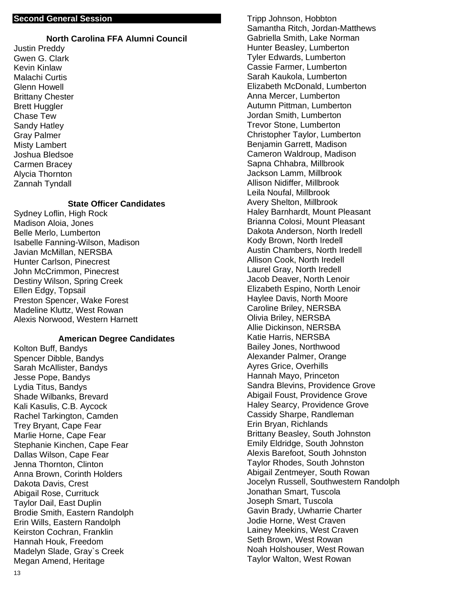#### **Second General Session**

#### **North Carolina FFA Alumni Council**

Justin Preddy Gwen G. Clark Kevin Kinlaw Malachi Curtis Glenn Howell Brittany Chester Brett Huggler Chase Tew Sandy Hatley Gray Palmer Misty Lambert Joshua Bledsoe Carmen Bracey Alycia Thornton Zannah Tyndall

#### **State Officer Candidates**

Sydney Loflin, High Rock Madison Aloia, Jones Belle Merlo, Lumberton Isabelle Fanning-Wilson, Madison Javian McMillan, NERSBA Hunter Carlson, Pinecrest John McCrimmon, Pinecrest Destiny Wilson, Spring Creek Ellen Edgy, Topsail Preston Spencer, Wake Forest Madeline Kluttz, West Rowan Alexis Norwood, Western Harnett

#### **American Degree Candidates**

Kolton Buff, Bandys Spencer Dibble, Bandys Sarah McAllister, Bandys Jesse Pope, Bandys Lydia Titus, Bandys Shade Wilbanks, Brevard Kali Kasulis, C.B. Aycock Rachel Tarkington, Camden Trey Bryant, Cape Fear Marlie Horne, Cape Fear Stephanie Kinchen, Cape Fear Dallas Wilson, Cape Fear Jenna Thornton, Clinton Anna Brown, Corinth Holders Dakota Davis, Crest Abigail Rose, Currituck Taylor Dail, East Duplin Brodie Smith, Eastern Randolph Erin Wills, Eastern Randolph Keirston Cochran, Franklin Hannah Houk, Freedom Madelyn Slade, Gray`s Creek Megan Amend, Heritage

Tripp Johnson, Hobbton Samantha Ritch, Jordan-Matthews Gabriella Smith, Lake Norman Hunter Beasley, Lumberton Tyler Edwards, Lumberton Cassie Farmer, Lumberton Sarah Kaukola, Lumberton Elizabeth McDonald, Lumberton Anna Mercer, Lumberton Autumn Pittman, Lumberton Jordan Smith, Lumberton Trevor Stone, Lumberton Christopher Taylor, Lumberton Benjamin Garrett, Madison Cameron Waldroup, Madison Sapna Chhabra, Millbrook Jackson Lamm, Millbrook Allison Nidiffer, Millbrook Leila Noufal, Millbrook Avery Shelton, Millbrook Haley Barnhardt, Mount Pleasant Brianna Colosi, Mount Pleasant Dakota Anderson, North Iredell Kody Brown, North Iredell Austin Chambers, North Iredell Allison Cook, North Iredell Laurel Gray, North Iredell Jacob Deaver, North Lenoir Elizabeth Espino, North Lenoir Haylee Davis, North Moore Caroline Briley, NERSBA Olivia Briley, NERSBA Allie Dickinson, NERSBA Katie Harris, NERSBA Bailey Jones, Northwood Alexander Palmer, Orange Ayres Grice, Overhills Hannah Mayo, Princeton Sandra Blevins, Providence Grove Abigail Foust, Providence Grove Haley Searcy, Providence Grove Cassidy Sharpe, Randleman Erin Bryan, Richlands Brittany Beasley, South Johnston Emily Eldridge, South Johnston Alexis Barefoot, South Johnston Taylor Rhodes, South Johnston Abigail Zentmeyer, South Rowan Jocelyn Russell, Southwestern Randolph Jonathan Smart, Tuscola Joseph Smart, Tuscola Gavin Brady, Uwharrie Charter Jodie Horne, West Craven Lainey Meekins, West Craven Seth Brown, West Rowan Noah Holshouser, West Rowan Taylor Walton, West Rowan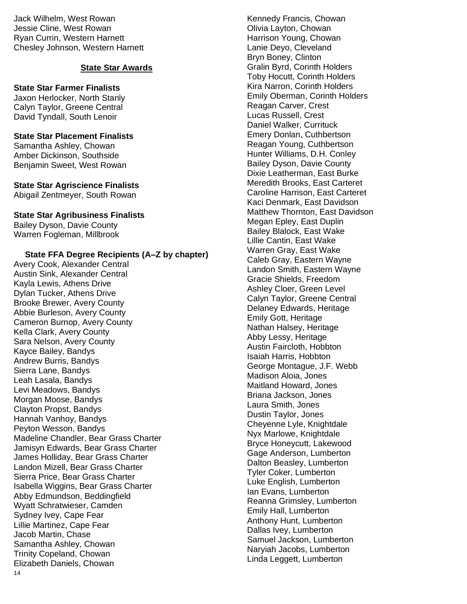Jack Wilhelm, West Rowan Jessie Cline, West Rowan Ryan Currin, Western Harnett Chesley Johnson, Western Harnett

## **State Star Awards**

## **State Star Farmer Finalists**

Jaxon Herlocker, North Stanly Calyn Taylor, Greene Central David Tyndall, South Lenoir

#### **State Star Placement Finalists** Samantha Ashley, Chowan Amber Dickinson, Southside Benjamin Sweet, West Rowan

**State Star Agriscience Finalists** Abigail Zentmeyer, South Rowan

## **State Star Agribusiness Finalists**

Bailey Dyson, Davie County Warren Fogleman, Millbrook

## **State FFA Degree Recipients (A–Z by chapter)**

14 Avery Cook, Alexander Central Austin Sink, Alexander Central Kayla Lewis, Athens Drive Dylan Tucker, Athens Drive Brooke Brewer, Avery County Abbie Burleson, Avery County Cameron Burnop, Avery County Kella Clark, Avery County Sara Nelson, Avery County Kayce Bailey, Bandys Andrew Burris, Bandys Sierra Lane, Bandys Leah Lasala, Bandys Levi Meadows, Bandys Morgan Moose, Bandys Clayton Propst, Bandys Hannah Vanhoy, Bandys Peyton Wesson, Bandys Madeline Chandler, Bear Grass Charter Jamisyn Edwards, Bear Grass Charter James Holliday, Bear Grass Charter Landon Mizell, Bear Grass Charter Sierra Price, Bear Grass Charter Isabella Wiggins, Bear Grass Charter Abby Edmundson, Beddingfield Wyatt Schratwieser, Camden Sydney Ivey, Cape Fear Lillie Martinez, Cape Fear Jacob Martin, Chase Samantha Ashley, Chowan Trinity Copeland, Chowan Elizabeth Daniels, Chowan

Kennedy Francis, Chowan Olivia Layton, Chowan Harrison Young, Chowan Lanie Deyo, Cleveland Bryn Boney, Clinton Gralin Byrd, Corinth Holders Toby Hocutt, Corinth Holders Kira Narron, Corinth Holders Emily Oberman, Corinth Holders Reagan Carver, Crest Lucas Russell, Crest Daniel Walker, Currituck Emery Donlan, Cuthbertson Reagan Young, Cuthbertson Hunter Williams, D.H. Conley Bailey Dyson, Davie County Dixie Leatherman, East Burke Meredith Brooks, East Carteret Caroline Harrison, East Carteret Kaci Denmark, East Davidson Matthew Thornton, East Davidson Megan Epley, East Duplin Bailey Blalock, East Wake Lillie Cantin, East Wake Warren Gray, East Wake Caleb Gray, Eastern Wayne Landon Smith, Eastern Wayne Gracie Shields, Freedom Ashley Cloer, Green Level Calyn Taylor, Greene Central Delaney Edwards, Heritage Emily Gott, Heritage Nathan Halsey, Heritage Abby Lessy, Heritage Austin Faircloth, Hobbton Isaiah Harris, Hobbton George Montague, J.F. Webb Madison Aloia, Jones Maitland Howard, Jones Briana Jackson, Jones Laura Smith, Jones Dustin Taylor, Jones Cheyenne Lyle, Knightdale Nyx Marlowe, Knightdale Bryce Honeycutt, Lakewood Gage Anderson, Lumberton Dalton Beasley, Lumberton Tyler Coker, Lumberton Luke English, Lumberton Ian Evans, Lumberton Reanna Grimsley, Lumberton Emily Hall, Lumberton Anthony Hunt, Lumberton Dallas Ivey, Lumberton Samuel Jackson, Lumberton Naryiah Jacobs, Lumberton Linda Leggett, Lumberton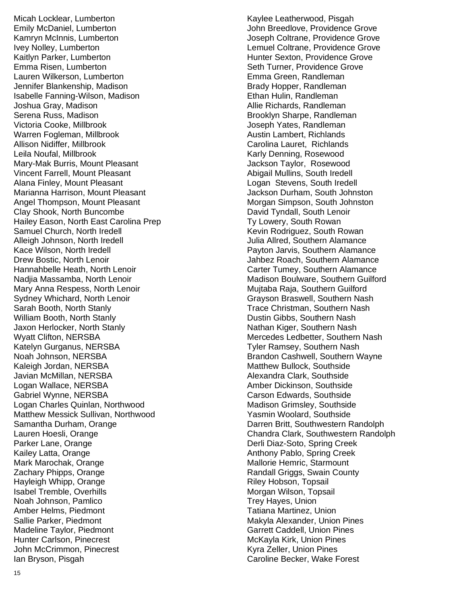Micah Locklear, Lumberton Emily McDaniel, Lumberton Kamryn McInnis, Lumberton Ivey Nolley, Lumberton Kaitlyn Parker, Lumberton Emma Risen, Lumberton Lauren Wilkerson, Lumberton Jennifer Blankenship, Madison Isabelle Fanning -Wilson, Madison Joshua Gray, Madison Serena Russ, Madison Victoria Cooke, Millbrook Warren Fogleman, Millbrook Allison Nidiffer, Millbrook Leila Noufal, Millbrook Mary -Mak Burris, Mount Pleasant Vincent Farrell, Mount Pleasant Alana Finley, Mount Pleasant Marianna Harrison, Mount Pleasant Angel Thompson, Mount Pleasant Clay Shook, North Buncombe Hailey Eason, North East Carolina Prep Samuel Church, North Iredell Alleigh Johnson, North Iredell Kace Wilson, North Iredell Drew Bostic, North Lenoir Hannahbelle Heath, North Lenoir Nadjia Massamba, North Lenoir Mary Anna Respess, North Lenoir Sydney Whichard, North Lenoir Sarah Booth, North Stanly William Booth, North Stanly Jaxon Herlocker, North Stanly Wyatt Clifton, NERSBA Katelyn Gurganus, NERSBA Noah Johnson, NERSBA Kaleigh Jordan, NERSBA Javian McMillan, NERSBA Logan Wallace, NERSBA Gabriel Wynne, NERSBA Logan Charles Quinlan, Northwood Matthew Messick Sullivan, Northwood Samantha Durham, Orange Lauren Hoesli, Orange Parker Lane, Orange Kailey Latta, Orange Mark Marochak, Orange Zachary Phipps, Orange Hayleigh Whipp, Orange Isabel Tremble, Overhills Noah Johnson, Pamlico Amber Helms, Piedmont Sallie Parker, Piedmont Madeline Taylor, Piedmont Hunter Carlson, Pinecrest John McCrimmon, Pinecrest Ian Bryson, Pisgah

Kaylee Leatherwood, Pisgah John Breedlove, Providence Grove Joseph Coltrane, Providence Grove Lemuel Coltrane, Providence Grove Hunter Sexton, Providence Grove Seth Turner, Providence Grove Emma Green, Randleman Brady Hopper, Randleman Ethan Hulin, Randleman Allie Richards, Randleman Brooklyn Sharpe, Randleman Joseph Yates, Randleman Austin Lambert, Richlands Carolina Lauret, Richlands Karly Denning, Rosewood Jackson Taylor, Rosewood Abigail Mullins, South Iredell Logan Stevens, South Iredell Jackson Durham, South Johnston Morgan Simpson, South Johnston David Tyndall, South Lenoir Ty Lowery, South Rowan Kevin Rodriguez, South Rowan Julia Allred, Southern Alamance Payton Jarvis, Southern Alamance Jahbez Roach, Southern Alamance Carter Tumey, Southern Alamance Madison Boulware, Southern Guilford Mujtaba Raja, Southern Guilford Grayson Braswell, Southern Nash Trace Christman, Southern Nash Dustin Gibbs, Southern Nash Nathan Kiger, Southern Nash Mercedes Ledbetter, Southern Nash Tyler Ramsey, Southern Nash Brandon Cashwell, Southern Wayne Matthew Bullock, Southside Alexandra Clark, Southside Amber Dickinson, Southside Carson Edwards, Southside Madison Grimsley, Southside Yasmin Woolard, Southside Darren Britt, Southwestern Randolph Chandra Clark, Southwestern Randolph Derli Diaz -Soto, Spring Creek Anthony Pablo, Spring Creek Mallorie Hemric, Starmount Randall Griggs, Swain County Riley Hobson, Topsail Morgan Wilson, Topsail Trey Hayes, Union Tatiana Martinez, Union Makyla Alexander, Union Pines Garrett Caddell, Union Pines McKayla Kirk, Union Pines Kyra Zeller, Union Pines Caroline Becker, Wake Forest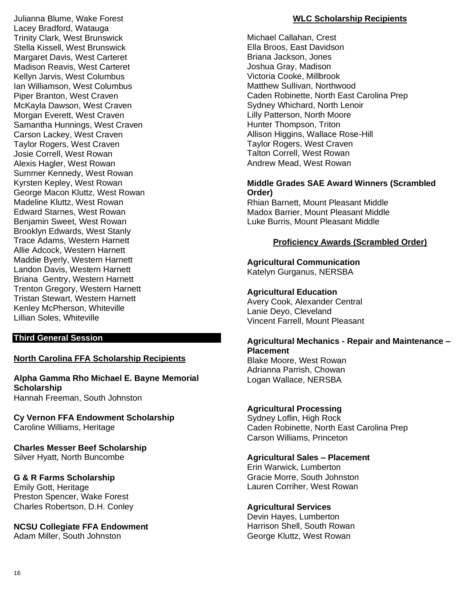Julianna Blume, Wake Forest Lacey Bradford, Watauga Trinity Clark, West Brunswick Stella Kissell, West Brunswick Margaret Davis, West Carteret Madison Reavis, West Carteret Kellyn Jarvis, West Columbus Ian Williamson, West Columbus Piper Branton, West Craven McKayla Dawson, West Craven Morgan Everett, West Craven Samantha Hunnings, West Craven Carson Lackey, West Craven Taylor Rogers, West Craven Josie Correll, West Rowan Alexis Hagler, West Rowan Summer Kennedy, West Rowan Kyrsten Kepley, West Rowan George Macon Kluttz, West Rowan Madeline Kluttz, West Rowan Edward Starnes, West Rowan Benjamin Sweet, West Rowan Brooklyn Edwards, West Stanly Trace Adams, Western Harnett Allie Adcock, Western Harnett Maddie Byerly, Western Harnett Landon Davis, Western Harnett Briana Gentry, Western Harnett Trenton Gregory, Western Harnett Tristan Stewart, Western Harnett Kenley McPherson, Whiteville Lillian Soles, Whiteville

## **Third General Session**

#### **North Carolina FFA Scholarship Recipients**

#### **Alpha Gamma Rho Michael E. Bayne Memorial Scholarship** Hannah Freeman, South Johnston

**Cy Vernon FFA Endowment Scholarship**  Caroline Williams, Heritage

**Charles Messer Beef Scholarship** Silver Hyatt, North Buncombe

#### **G & R Farms Scholarship**

Emily Gott, Heritage Preston Spencer, Wake Forest Charles Robertson, D.H. Conley

## **NCSU Collegiate FFA Endowment**

Adam Miller, South Johnston

## **WLC Scholarship Recipients**

Michael Callahan, Crest Ella Broos, East Davidson Briana Jackson, Jones Joshua Gray, Madison Victoria Cooke, Millbrook Matthew Sullivan, Northwood Caden Robinette, North East Carolina Prep Sydney Whichard, North Lenoir Lilly Patterson, North Moore Hunter Thompson, Triton Allison Higgins, Wallace Rose-Hill Taylor Rogers, West Craven Talton Correll, West Rowan Andrew Mead, West Rowan

## **Middle Grades SAE Award Winners (Scrambled Order)**

Rhian Barnett, Mount Pleasant Middle Madox Barrier, Mount Pleasant Middle Luke Burris, Mount Pleasant Middle

## **Proficiency Awards (Scrambled Order)**

## **Agricultural Communication**

Katelyn Gurganus, NERSBA

## **Agricultural Education**

Avery Cook, Alexander Central Lanie Deyo, Cleveland Vincent Farrell, Mount Pleasant

#### **Agricultural Mechanics - Repair and Maintenance – Placement**

Blake Moore, West Rowan Adrianna Parrish, Chowan Logan Wallace, NERSBA

#### **Agricultural Processing**

Sydney Loflin, High Rock Caden Robinette, North East Carolina Prep Carson Williams, Princeton

## **Agricultural Sales – Placement**

Erin Warwick, Lumberton Gracie Morre, South Johnston Lauren Corriher, West Rowan

#### **Agricultural Services**

Devin Hayes, Lumberton Harrison Shell, South Rowan George Kluttz, West Rowan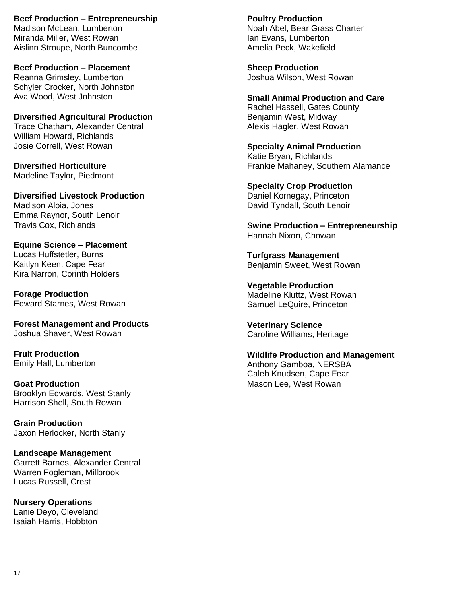**Beef Production – Entrepreneurship** Madison McLean, Lumberton Miranda Miller, West Rowan Aislinn Stroupe, North Buncombe

**Beef Production – Placement** Reanna Grimsley, Lumberton Schyler Crocker, North Johnston Ava Wood, West Johnston

**Diversified Agricultural Production** Trace Chatham, Alexander Central William Howard, Richlands Josie Correll, West Rowan

**Diversified Horticulture** Madeline Taylor, Piedmont

**Diversified Livestock Production** Madison Aloia, Jones Emma Raynor, South Lenoir Travis Cox, Richlands

**Equine Science – Placement** Lucas Huffstetler, Burns Kaitlyn Keen, Cape Fear Kira Narron, Corinth Holders

**Forage Production** Edward Starnes, West Rowan

**Forest Management and Products** Joshua Shaver, West Rowan

**Fruit Production** Emily Hall, Lumberton

**Goat Production** Brooklyn Edwards, West Stanly Harrison Shell, South Rowan

**Grain Production** Jaxon Herlocker, North Stanly

**Landscape Management** Garrett Barnes, Alexander Central Warren Fogleman, Millbrook Lucas Russell, Crest

**Nursery Operations** Lanie Deyo, Cleveland Isaiah Harris, Hobbton

**Poultry Production** Noah Abel, Bear Grass Charter Ian Evans, Lumberton Amelia Peck, Wakefield

**Sheep Production** Joshua Wilson, West Rowan

**Small Animal Production and Care** Rachel Hassell, Gates County Benjamin West, Midway Alexis Hagler, West Rowan

**Specialty Animal Production** Katie Bryan, Richlands Frankie Mahaney, Southern Alamance

**Specialty Crop Production** Daniel Kornegay, Princeton David Tyndall, South Lenoir

**Swine Production – Entrepreneurship** Hannah Nixon, Chowan

**Turfgrass Management** Benjamin Sweet, West Rowan

**Vegetable Production** Madeline Kluttz, West Rowan Samuel LeQuire, Princeton

**Veterinary Science** Caroline Williams, Heritage

**Wildlife Production and Management** Anthony Gamboa, NERSBA Caleb Knudsen, Cape Fear Mason Lee, West Rowan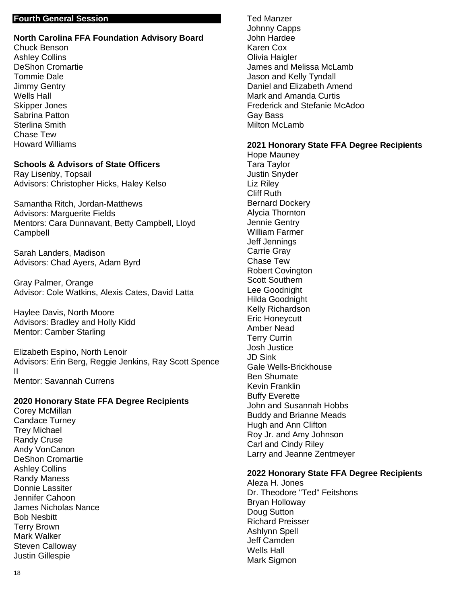## **Fourth General Session**

## **North Carolina FFA Foundation Advisory Board** Chuck Benson Ashley Collins

DeShon Cromartie Tommie Dale Jimmy Gentry Wells Hall Skipper Jones Sabrina Patton Sterlina Smith Chase Tew Howard Williams

## **Schools & Advisors of State Officers**

Ray Lisenby, Topsail Advisors: Christopher Hicks, Haley Kelso

Samantha Ritch, Jordan-Matthews Advisors: Marguerite Fields Mentors: Cara Dunnavant, Betty Campbell, Lloyd **Campbell** 

Sarah Landers, Madison Advisors: Chad Ayers, Adam Byrd

Gray Palmer, Orange Advisor: Cole Watkins, Alexis Cates, David Latta

Haylee Davis, North Moore Advisors: Bradley and Holly Kidd Mentor: Camber Starling

Elizabeth Espino, North Lenoir Advisors: Erin Berg, Reggie Jenkins, Ray Scott Spence II Mentor: Savannah Currens

#### **2020 Honorary State FFA Degree Recipients**

Corey McMillan Candace Turney Trey Michael Randy Cruse Andy VonCanon DeShon Cromartie Ashley Collins Randy Maness Donnie Lassiter Jennifer Cahoon James Nicholas Nance Bob Nesbitt Terry Brown Mark Walker Steven Calloway Justin Gillespie

Ted Manzer Johnny Capps John Hardee Karen Cox Olivia Haigler James and Melissa McLamb Jason and Kelly Tyndall Daniel and Elizabeth Amend Mark and Amanda Curtis Frederick and Stefanie McAdoo Gay Bass Milton McLamb

#### **2021 Honorary State FFA Degree Recipients**

Hope Mauney Tara Taylor Justin Snyder Liz Riley Cliff Ruth Bernard Dockery Alycia Thornton Jennie Gentry William Farmer Jeff Jennings Carrie Gray Chase Tew Robert Covington Scott Southern Lee Goodnight Hilda Goodnight Kelly Richardson Eric Honeycutt Amber Nead Terry Currin Josh Justice JD Sink Gale Wells-Brickhouse Ben Shumate Kevin Franklin Buffy Everette John and Susannah Hobbs Buddy and Brianne Meads Hugh and Ann Clifton Roy Jr. and Amy Johnson Carl and Cindy Riley Larry and Jeanne Zentmeyer

#### **2022 Honorary State FFA Degree Recipients**

Aleza H. Jones Dr. Theodore "Ted" Feitshons Bryan Holloway Doug Sutton Richard Preisser Ashlynn Spell Jeff Camden Wells Hall Mark Sigmon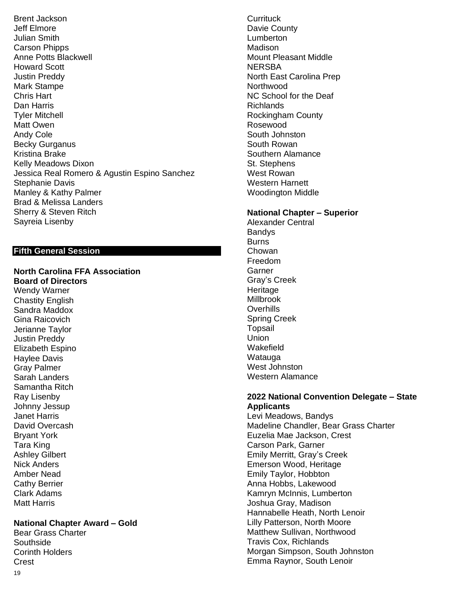Brent Jackson Jeff Elmore Julian Smith Carson Phipps Anne Potts Blackwell Howard Scott Justin Preddy Mark Stampe Chris Hart Dan Harris Tyler Mitchell Matt Owen Andy Cole Becky Gurganus Kristina Brake Kelly Meadows Dixon Jessica Real Romero & Agustin Espino Sanchez Stephanie Davis Manley & Kathy Palmer Brad & Melissa Landers Sherry & Steven Ritch Sayreia Lisenby

## **Fifth General Session**

**North Carolina FFA Association Board of Directors** Wendy Warner Chastity English

Sandra Maddox Gina Raicovich Jerianne Taylor Justin Preddy Elizabeth Espino Haylee Davis Gray Palmer Sarah Landers Samantha Ritch Ray Lisenby Johnny Jessup Janet Harris David Overcash Bryant York Tara King Ashley Gilbert Nick Anders Amber Nead Cathy Berrier Clark Adams Matt Harris

#### **National Chapter Award – Gold**

Bear Grass Charter Southside Corinth Holders Crest

**Currituck** Davie County **Lumberton Madison** Mount Pleasant Middle **NERSBA** North East Carolina Prep **Northwood** NC School for the Deaf Richlands Rockingham County Rosewood South Johnston South Rowan Southern Alamance St. Stephens West Rowan Western Harnett Woodington Middle

#### **National Chapter – Superior**

Alexander Central **Bandys Burns** Chowan Freedom Garner Gray's Creek **Heritage** Millbrook Overhills Spring Creek **Topsail** Union Wakefield Watauga West Johnston Western Alamance

#### **2022 National Convention Delegate – State Applicants**

Levi Meadows, Bandys Madeline Chandler, Bear Grass Charter Euzelia Mae Jackson, Crest Carson Park, Garner Emily Merritt, Gray's Creek Emerson Wood, Heritage Emily Taylor, Hobbton Anna Hobbs, Lakewood Kamryn McInnis, Lumberton Joshua Gray, Madison Hannabelle Heath, North Lenoir Lilly Patterson, North Moore Matthew Sullivan, Northwood Travis Cox, Richlands Morgan Simpson, South Johnston Emma Raynor, South Lenoir